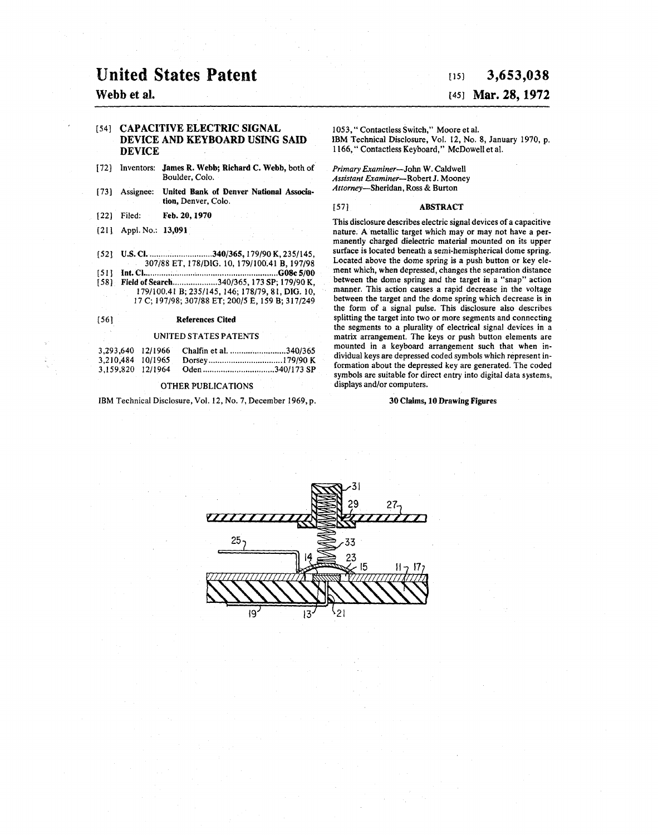# United States Patent

### Webb et al.

### [54] CAPACITIVE ELECTRIC SIGNAL DEVICE AND KEYBOARD USING SAID DEVICE

- [72] Inventors: James R. Webb; Richard C. Webb, both of Boulder, Colo.
- [73] Assignee: United Bank of Denver National Association, Denver, Colo.
- [22] Filed: Feb. 20, 1970
- [21] Appl. No.: 13,091
- [52] U.S. Cl ............................. 340/365, 179/90 K, 235/145, 307/88 ET, 178/DIG. 10, 179/IOOAI B, 197/98
- [ 51 ] Int. Cl ............................................................ G08c 5/00
- [58] Field of Search ......................340/365, 173 SP; 179/90 K, 179/100.41B;235/145, 146; 178/79, 81, DIG. 10, 17 C; 197/98; 307/88 ET; 200/5 E, 159 B; 317/249

### [ 5 6] References Cited

#### UNITED STATES PATENTS

| 3.293.640 12/1966 | Chalfin et al. 340/365 |  |
|-------------------|------------------------|--|
| 3.210.484 10/1965 |                        |  |
| 3.159.820 12/1964 | Oden 340/173 SP        |  |

### OTHER PUBLICATIONS

IBM Technical Disclosure, Vol. 12, No. 7, December 1969, p.

### $[15]$  3,653,038

### £451 Mar. 28, 1972

1053," Contactless Switch," Moore et al. IBM Technical Disclosure, Vol. 12, No. 8, January 1970, p. 1166," Contactless Keyboard," McDowell et al.

*Primary Examiner-John* W. Caldwell *Assistant EXaminer-RobertJ.* Mooney *Attorney-Sheridan,* Ross & Burton

#### [57] ABSTRACT

This disclosure describes electric signal devices of a capacitive nature. A metallic target which may or may not have a permanently charged dielectric material mounted on its upper surface is located beneath a semi-hemispherical dome spring. Located above the dome spring is a push button or key element which, when depressed, changes the separation distance between the dome spring and the target in a "snap" action manner. This action causes a rapid decrease in the voltage between the target and the dome spring which decrease is in the form of a signal pulse. This disclosure also describes splitting the target into two or more segments and connecting the segments to a plurality of electrical signal devices in a matrix arrangement. The keys or push button elements are mounted in a keyboard arrangement such that when individual keys are depressed coded symbols which represent information about the depressed key are generated. The coded symbols are suitable for direct entry into digital data systems, displays and/or computers.

### 30 Claims, IO Drawing Figures

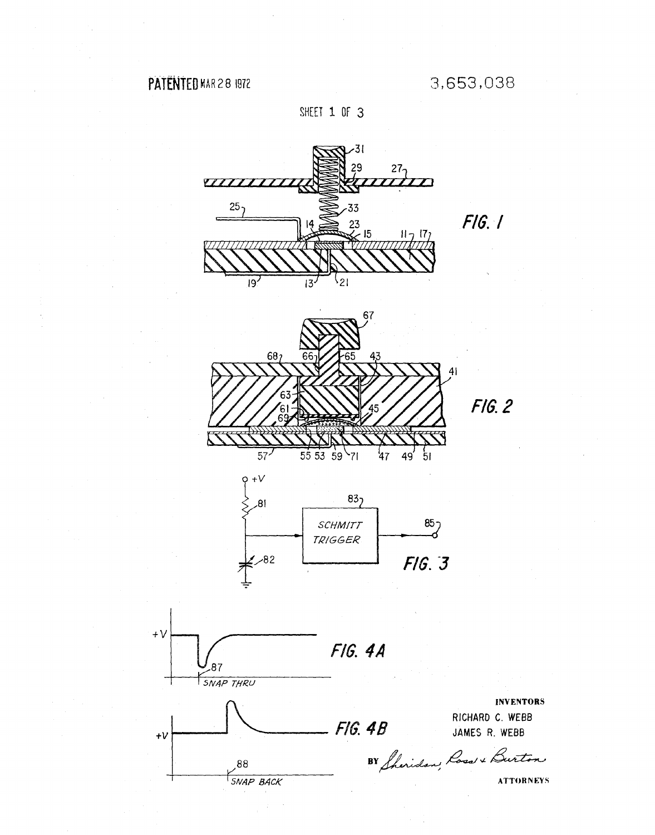# PATENTED MAR 28 1972

 $+V$ 

 $+V$ 

SHEET 1 OF 3

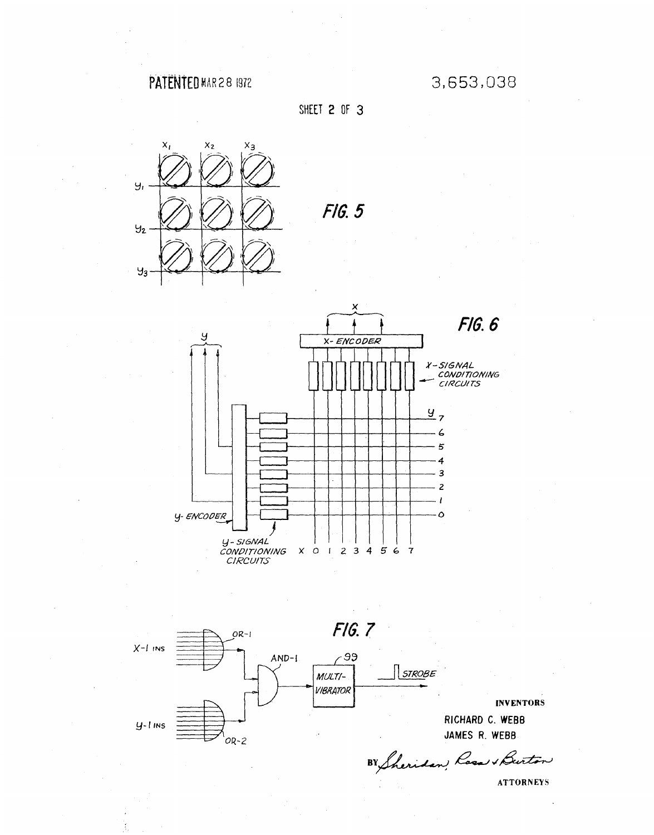# **PATENTED MAR 2 8 1972 3,653,038**





*FIG. 5* 





**INVENTORS RICHARD C. WEBB** 

BY Sheridan Rasa & Burton

ATTORNEYS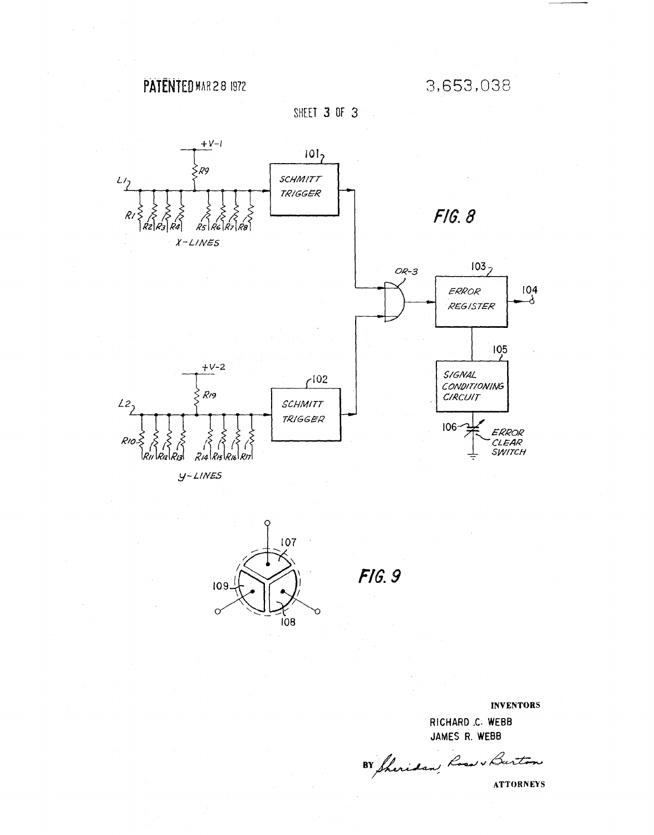# **PATENtEO** MAR 2 8 1972

3,653,038

SHEET 3 OF 3



 $y$ -LINES



*FIG.9* 

INVENTORS RICHARD .. C: **WEBB** 

JAMES R. **WEBB** 

BY Sheridan, Road & Burton

ATTORNEYS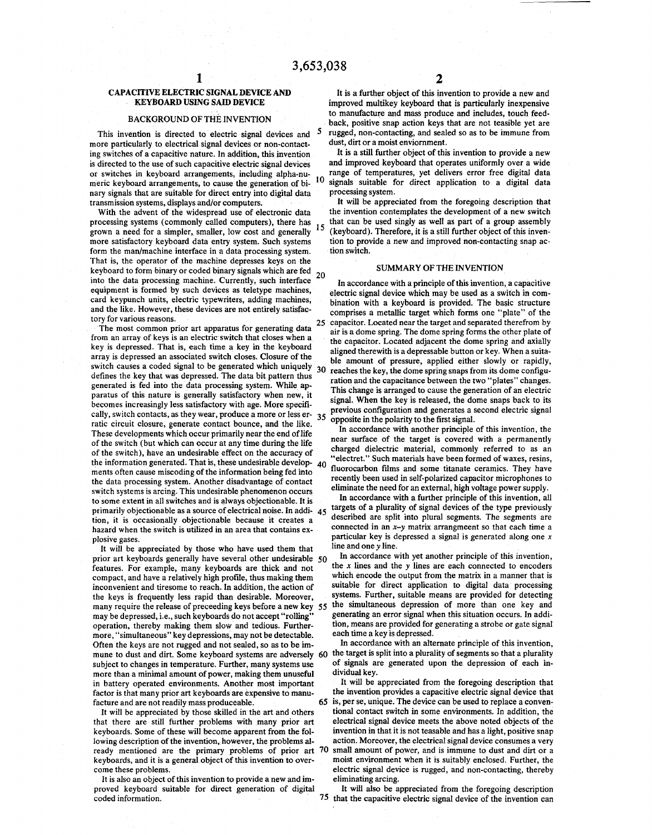### CAPACITIVE ELECTRIC SIGNAL DEVICE AND KEYBOARD USING SAID DEVICE

### BACKGROUND OF THE INVENTION

This invention is directed to electric signal devices and *5*  more particularly to electrical signal devices or non-contacting switches of a capacitive nature. In addition, this invention is directed to the use of such capacitive electric signal devices or switches in keyboard arrangements, including alpha-numeric keyboard arrangements, to cause the generation of binary signals that are suitable for direct entry into digital data transmission systems, displays and/or computers.

With the advent of the widespread use of electronic data processing systems (commonly called computers), there has processing systems (commonly called computers), there has 15 grown a need for a simpler, smaller, low cost and generally 15 more satisfactory keyboard data entry system. Such systems form the man/machine interface in a data processing system. That is, the operator of the machine depresses keys on the keyboard to form binary or coded binary signals which are fed xeyboard to form of data processing machine. Currently, such interface  $20$  into the data processing machine. Currently, such interface equipment is formed by such devices as teletype machines, card keypunch units, electric typewriters, adding machines, and the like. However, these devices are not entirely satisfactory for various reasons.

The most common prior art apparatus for generating data 25 from an array of keys is an electric switch that closes when a key is depressed. That is, each time a key in the keyboard array is depressed an associated switch closes. Closure of the switch causes a coded signal to be generated which uniquely 30 defines the key that was depressed. The data bit pattern thus generated is fed into the data processing system. While apparatus of this nature is generally satisfactory when new, it becomes increasingly less satisfactory with age. More specifically, switch contacts, as they wear, produce a more or less er- $35$ ratic circuit closure, generate contact bounce, and the like. These developments which occur primarily near the end of life of the switch (but which can occur at any time during the life of the switch), have an undesirable effect on the accuracy of the information generated. That is, these undesirable develop- $40$ ments often cause miscoding of the information being fed into the data processing system. Another disadvantage of contact switch systems is arcing. This undesirable phenomenon occurs to some extent in all switches and is always objectionable. It is primarily objectionable as a source of electrical noise. In addi- 45 tion, it is occasionally objectionable because it creates a hazard when the switch is utilized in an area that contains explosive gases.

It will be appreciated by those who have used them that prior art keyboards generally have several other undesirable 50 features. For example, many keyboards are thick and not compact, and have a relatively high profile, thus making them inconvenient and tiresome to reach. In addition, the action of the keys is frequently less rapid than desirable. Moreover, many require the release of preceeding keys before a new key *55*  may be depressed, i.e., such keyboards do not accept "rolling" operation, thereby making them slow and tedious. Furthermore, "simultaneous" key depressions, may not be detectable. Often the keys are not rugged and not sealed, so as to be immune to dust and dirt. Some keyboard systems are adversely 60 the target is split into a plurality of segments so that a plurality subject to changes in temperature. Further, many systems use more than a minimal amount of power, making them unuseful in battery operated environments. Another most important factor is that many prior art keyboards are expensive to manufacture and are not readily mass produceable.

It will be appreciated by those skilled in the art and others that there are still further problems with many prior art keyboards. Some of these will become apparent from the following description of the invention, however, the problems already mentioned are the primary problems of prior art 70 keyboards, and it is a general object of this invention to overcome these problems.

It is also an object of this invention to provide a new and improved keyboard suitable for direct generation of digital coded information.

It is a further object of this invention to provide a new and improved multikey keyboard that is particularly inexpensive to manufacture and mass produce and includes, touch feedback, positive snap action keys that are not teasible yet are rugged, non-contacting, and sealed so as to be immune from dust, dirt or a moist enviornment.

It is a still further object of this invention to provide a new and improved keyboard that operates uniformly over a wide range of temperatures, yet delivers error free digital data signals suitable for direct application to a digital data processing system.

It will be appreciated from the foregoing description that the invention contemplates the development of a new switch that can be used singly as well as part of a group assembly (keyboard). Therefore, it is a still further object of this invention to provide a new and improved non-contacting snap action switch.

### SUMMARY OF THE INVENTION

In accordance with a principle of this invention, a capacitive electric signal device which may be used as a switch in combination with a keyboard is provided. The basic structure comprises a metallic target which forms one "plate" of the capacitor. Located near the target and separated therefrom by air is a dome spring. The dome spring forms the other plate of the capacitor. Located adjacent the dome spring and axially aligned therewith is a depressable button or key. When a suitable amount of pressure, applied either slowly or rapidly, reaches the key, the dome spring snaps from its dome configuration and the capacitance between the two "plates" changes. This change is arranged to cause the generation of an electric signal. When the key is released, the dome snaps back to its previous configuration and generates a second electric signal opposite in the polarity to the first signal.

In accordance with another principle of this invention, the near surface of the target is covered with a permanently charged dielectric material, commonly referred to as an "electret." Such materials have been formed of waxes, resins, fluorocarbon films and some titanate ceramics. They have recently been used in self-polarized capacitor microphones to eliminate the need for an external, high voltage power supply.

In accordance with a further principle of this invention, all targets of a plurality of signal devices of the type previously described are split into plural segments. The segments are connected in an *x-y* matrix arrangmeent so that each time a particular key is depressed a signal is generated along one *x*  line and one *y* line.

In accordance with yet another principle of this invention, the *x* lines and the *y* lines are each connected to encoders which encode the output from the matrix in a manner that is suitable for direct application to digital data processing systems. Further, suitable means are provided for detecting the simultaneous depression of more than one key and generating an error signal when this situation occurs. In addition, means are provided for generating a strobe or gate signal each time a key is depressed.

In accordance with an alternate principle of this invention, of signals are generated upon the. depression of each individual key.

It will be appreciated from the foregoing description that the invention provides a capacitive electric signal device that 65 is, per se, unique. The device can be used to replace a conventional contact switch in some environments. In addition, the electrical signal device meets the above noted objects of the invention in that it is not teasable and has a light, positive snap action. Moreover, the electrical signal device consumes a very small amount of power, and is immune to dust and dirt or a moist environment when it is suitably enclosed. Further, the electric signal device is rugged, and non-contacting, thereby eliminating arcing.

It will also be appreciated from the foregoing description 75 that the capacitive electric signal device of the invention can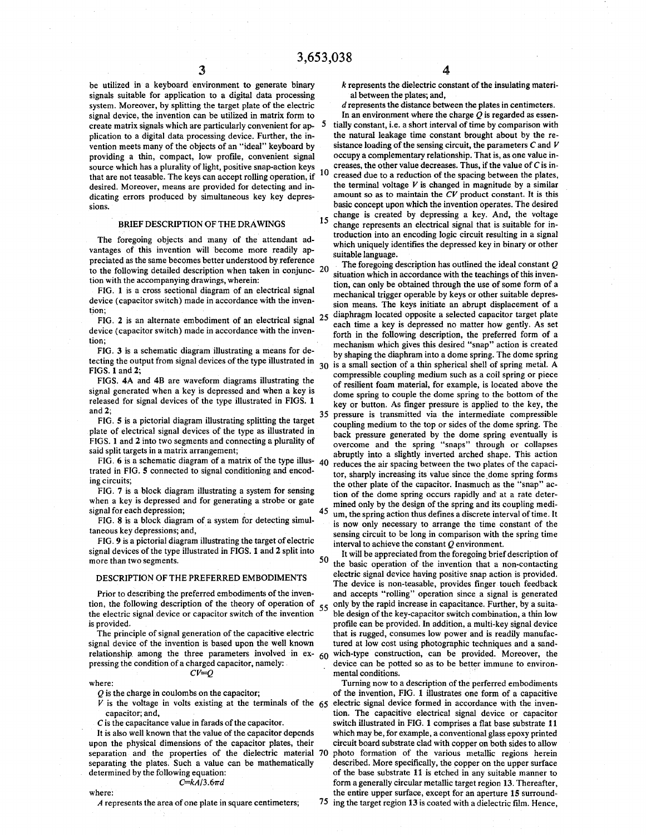be utilized in a keyboard environment to generate binary signals suitable for application to a digital data processing system. Moreover, by splitting the target plate of the electric signal device, the invention can be utilized in matrix form to create matrix signals which are particularly convenient for application to a digital data processing device. Further, the invention meets many of the objects of an "ideal" keyboard by providing a thin, compact, low profile, convenient signal source which has a plurality of light, positive snap-action keys that are not teasable. The keys can accept rolling operation, if desired. Moreover, means are provided for detecting and indicating errors produced by simultaneous key key depressions.

#### BRIEF DESCRIPTION OF THE DRAWINGS

The foregoing objects and many of the attendant advantages of this invention will become more readily appreciated as the same becomes better understood by reference to the following detailed description when taken in conjunction with the accompanying drawings, wherein:

FIG. I is a cross sectional diagram of an electrical signal device (capacitor switch) made in accordance with the invention;

FIG. 2 is an alternate embodiment of an electrical signal  $25$ device (capacitor switch) made in accordance with the invention;

FIG. 3 is a schematic diagram illustrating a means for detecting the output from signal devices of the type illustrated in FIGS. I and 2;

FIGS. 4A and 4B are waveform diagrams illustrating the signal generated when a key is depressed and when a key is released for signal devices of the type illustrated in FIGS. 1 and2;

FIG. 5 is a pictorial diagram illustrating splitting the target plate of electrical signal devices of the type as illustrated in FIGS. l and 2 into two segments and connecting a plurality of said split targets in a matrix arrangement;

FIG. 6 is a schematic diagram of a matrix of the type illus- $40$ trated in FIG. 5 connected to signal conditioning and encoding circuits;

FIG. 7 is a block diagram illustrating a system for sensing when a key is depressed and for generating a strobe or gate signal for each depression;

FIG. 8 is a block diagram of a system for detecting simultaneous key depressions; and,

FIG. 9 is a pictorial diagram illustrating the target of electric signal devices of the type illustrated in FIGS. 1 and 2 split into more than two segments.

### DESCRIPTION OF THE PREFERRED EMBODIMENTS

Prior to describing the preferred embodiments of the invention, the following description of the theory of operation of 55 the electric signal device or capacitor switch of the invention is provided.

The principle of signal generation of the capacitive electric signal device of the invention is based upon the well known relationship among the three parameters involved in ex- $60$ pressing the condition of a charged capacitor, namely: *CV=Q* 

where:

Q is the charge in coulombs on the capacitor;

 $V$  is the voltage in volts existing at the terminals of the  $65$ capacitor; and,

C is the capacitance value in farads of the capacitor.

It is also well known that the value of the capacitor depends upon the physical dimensions of the capacitor plates, their separation and the properties of the dielectric material 70 separating the plates. Such a value can be mathematically determined by the following equation:  $C=kA/3.6\pi d$ 

### 4

*k* represents the dielectric constant of the insulating material between the plates; and,

d represents the distance between the plates in centimeters. In an environment where the charge  $O$  is regarded as essen-

5 tially constant, i.e. a short interval of time by comparison with the natural leakage time constant brought about by the resistance loading of the sensing circuit, the parameters C and *V*  occupy a complementary relationship. That is, as one value increases, the other value decreases. Thus, if the value of  $C$  is in-10 creased due to a reduction of the spacing between the plates, the terminal voltage  $V$  is changed in magnitude by a similar amount so as to maintain the *CV* product constant. It is this basic concept upon which the invention operates. The desired change is created by depressing a key. And, the voltage change is created by depressing a key. And, the voltage 15 change represents an electrical signal that is suitable for introduction into an encoding logic circuit resulting in a signal which uniquely identifies the depressed key in binary or other

suitable language. <sup>20</sup>The foregoing description has outlined the ideal constant *<sup>Q</sup>* situation which in accordance with the teachings of this invention, can only be obtained through the use of some form of a mechanical trigger operable by keys or other suitable depression means. The keys initiate an abrupt displacement of a diaphragm located opposite a selected capacitor target plate each time a key is depressed no matter how gently. As set forth in the following description, the preferred form of a mechanism which gives this desired "snap" action is created by shaping the diaphram into a dome spring. The dome spring 30 is a small section of a thin spherical shell of spring metal. A compressible coupling medium such as a coil spring or piece of resilient foam material, for example, is located above the dome spring to couple the dome spring to the bottom of the key or button. As finger pressure is applied to the key, the pressure is transmitted via the intermediate compressible coupling medium to the top or sides of the dome spring. The back pressure generated by the dome spring eventually is overcome and the spring "snaps" through or collapses abruptly into a slightly inverted arched shape. This action reduces the air spacing between the two plates of the capacitor, sharply increasing its value since the dome spring forms the other plate of the capacitor. Inasmuch as the "snap" action of the dome spring occurs rapidly and· at a rate determined only by the design of the spring and its coupling medi-45 um, the spring action thus defines a discrete interval of time. It is now only necessary to arrange the time constant of the sensing circuit to be long in comparison with the spring time interval to achieve the constant Q environment.

50 It will be appreciated from the foregoing brief description of the basic operation of the invention that a non-contacting electric signal device having positive snap action is provided. The device is non-teasable, provides finger touch feedback and accepts "rolling" operation since a signal is generated only by the rapid increase in capacitance. Further, by a suitable design of the key-capacitor switch combination, a thin low profile can be provided. In addition, a multi-key signal device that is rugged, consumes low power and is readily manufactured at low cost using photographic techniques and a sandwich-type construction, can be provided. Moreover, the device can be potted so as to be better immune to environmental conditions.

Turning now to a description of the perferred embodiments of the invention, FIG. 1 illustrates one form of a capacitive electric signal device formed in accordance with the invention. The capacitive electrical signal device or capacitor switch illustrated in FIG. 1 comprises a flat base substrate 11 which may be, for example, a conventional glass epoxy printed circuit board substrate clad with copper on both sides to allow photo formation of the various metallic regions herein described. More specifically, the copper on the upper surface of the base substrate 11 is etched in any suitable manner to form a generally circular metallic target region 13. Thereafter, the entire upper surface, except for an aperture 15 surround-75 ing the target region 13 is coated with a dielectric film. Hence,

where:

A represents the area of one plate in square centimeters;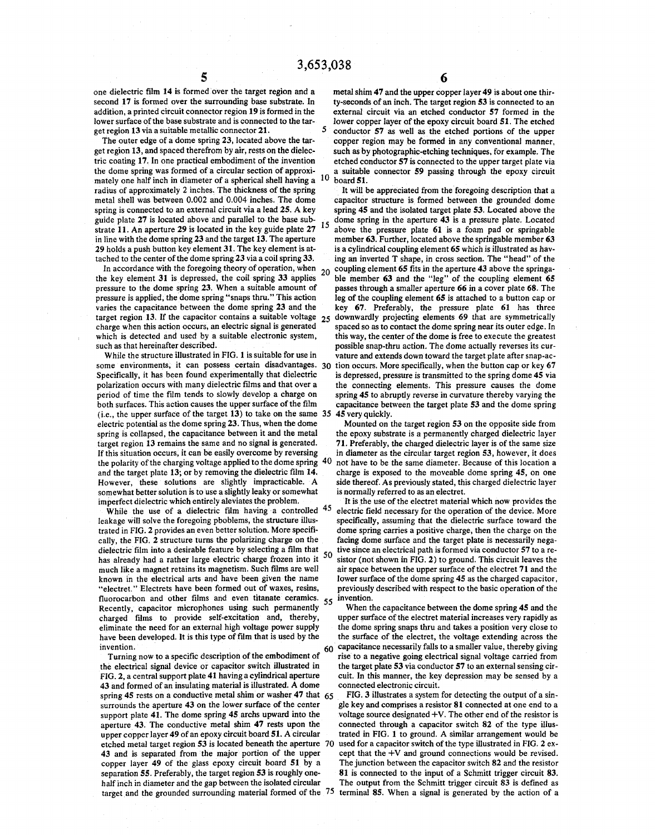$\frac{5}{5}$  one dielectric film 14 is formed over the target region and a metal shim 47 and the upper come of the unit of the unit of the unit of the unit of the unit of the unit of the unit of the unit of the unit of the u second 17 is formed over the surrounding base substrate. In addition, a printed circuit connector region 19 is formed in the lower surface of the base substrate and is connected to the target region 13 via a suitable metallic connector 21.

The outer edge of a dome spring 23, located above the target region 13, and spaced therefrom by air, rests on the dielectric coating 17. In one practical embodiment of the invention the dome spring was formed of a circular section of approximately one half inch in diameter of a spherical shell having a radius of approximately 2 inches. The thickness of the spring metal shell was between 0.002 and 0.004 inches. The dome spring is connected to an external circuit via a lead 25. A key guide plate 27 is located above and parallel to the base substrate 11. An aperture 29 is located in the key guide plate 27 in line with the dome spring 23 and the target 13. The aperture 29 holds a push button key element 31. The key element is attached to the center of the dome spring 23 via a coil spring 33.<br>In accordance with the foregoing theory of operation, when

In accordance with the foregoing theory of operation, when  $20$  the key element 31 is depressed, the coil spring 33 applies pressure to the dome spring 23. When a suitable amount of pressure is applied, the dome spring "snaps thru." This action varies the capacitance between the dome spring 23 and the target region 13. If the capacitor contains a suitable voltage *25*  charge when this action occurs, an electric signal is generated which is detected and used by a suitable electronic system, such as that hereinafter described.

While the structure illustrated in FIG. 1 is suitable for use in some environments, it can possess certain disadvantages. 30 Specifically, it has been found experimentally that dielectric polarization occurs with many dielectric films and that over a period of time the film tends to slowly develop a charge on both surfaces. This action causes the upper surface of the film (i.e., the upper surface of the target 13) to take on the same 35 45 very quickly. electric potential as the dome spring 23. Thus, when the dome spring is collapsed, the capacitance between it and the metal target region 13 remains the same and no signal is generated. If this situation occurs, it can be easily overcome by reversing the polarity of the charging voltage applied to the dome spring 40 and the target plate 13; or by removing the dielectric film 14. However, these solutions are slightly impracticable. A somewhat better solution is to use a slightly leaky or somewhat imperfect dielectric which entirely aleviates the problem.

While the use of a dielectric film having a controlled <sup>45</sup> leakage will solve the foregoing pboblems, the structure illustrated in FIG. *2* provides an even better solution. More specifically, the FIG. 2 structure turns the polarizing charge on the dielectric film into a desirable feature by selecting a film that *50* has already had a rather large electric charge frozen into it much like a magnet retains its magnetism. Such films are well known in the electrical arts and have been given the name "electret." Electrets have been formed out of waxes, resins, fluorocarbon and other films and even titanate ceramics. *55* Recently, capacitor microphones using such permanently charged films to provide self-excitation and, thereby, eliminate the need for an external high voltage power supply have been developed. It is this type of film that is used by the  $\frac{1}{2}$  invention. 60

Turning now to a specific description of the embodiment of the electrical signal device or capacitor switch illustrated in FIG. 2, a central support plate 41 having a cylindrical aperture 43 and formed of an insulating material is illustrated. A dome spring 45 rests on a conductive metal shim or washer 47 that *65*  surrounds the aperture 43 on the lower surface of the center support plate 41. The dome spring 45 archs upward into the aperture 43. The conductive metal shim 47 rests upon the upper copper layer 49 of an epoxy circuit board 51. A circular etched metal target region 53 is located beneath the aperture 70 43 and is separated from the major portion of the upper copper layer 49 of the glass epoxy circuit board 51 by a separation 55. Preferably, the target region 53 is roughly onehalf inch in diameter and the gap between the isolated circular target and the grounded surrounding material formed of the 75

metal shim 47 and the upper copper layer 49 is about one thirty-seconds of an inch. The target region *53* is connected to an external circuit via an etched conductor 57 formed in the lower copper layer of the epoxy circuit board 51. The etched *5* conductor 57 as well as the etched portions of the upper copper region may be formed in any conventional manner, such as by photographic-etching techniques, for example. The etched conductor 57 is connected to the upper target plate via a suitable connector 59 passing through the epoxy circuit board 51.

It will be appreciated from the foregoing description that a capacitor structure is formed between the grounded dome spring 45 and the isolated target plate 53. Located above the dome spring in the aperture 43 is a pressure plate. Located above the pressure plate 61 is a foam pad or springable member 63. Further, located above the springable member 63 is a cylindrical coupling element 65 which is illustrated as having an inverted T shape, in cross section. The "head" of the coupling element 65 fits in the aperture 43 above the springable member 63 and the "leg" of the coupling element 65 passes through a smaller aperture 66 in a cover plate 68. The leg of the coupling element 65 is attached to a button cap or key 67. Preferably, the pressure plate 61 has three downwardly projecting elements 69 that are symmetrically spaced so as to contact the dome spring near its outer edge. In this way, the center of the dome is free to execute the greatest possible snap-thru action. The dome actually reverses its curvature and extends down toward the target plate after snap-action occurs. More specifically, when the button cap or key 67 is depressed, pressure is transmitted to the spring dome 45 via the connecting elements. This pressure causes the dome spring 45 to abruptly reverse in curvature thereby varying the capacitance between the target plate 53 and the dome spring

Mounted on the target region 53 on the opposite side from the epoxy substrate is a permanently charged dielectric layer 71. Preferably, the charged dielectric layer is of the same size in diameter as the circular target region 53, however, it does not have to be the same diameter. Because of this location a charge is exposed to the moveable dome spring 45, on one side thereof. As previously stated, this charged dielectric layer is normally referred to as an electret.

It is the use of the electret material which now provides the electric field necessary for the operation of the device. More specifically, assuming that the dielectric surface toward the dome spring carries a positive charge, then the charge on the facing dome surface and the target plate is necessarily negative since an electrical path is formed via conductor 57 to a resistor (not shown in FIG. 2) to ground. This circuit leaves the air space between the upper surface of the electret 71 and the lower surface of the dome spring 45 as the charged capacitor, previously described with respect to the basic operation of the invention.

When the capacitance between the dome spring 45 and the upper surface of the electret material increases very rapidly as the dome spring snaps thru and takes a position very close to the surface of the electret, the voltage extending across the capacitance necessarily falls to a smaller value, thereby giving rise to a negative going electrical signal voltage carried from the target plate 53 via conductor 57 to an external sensing circuit. In this manner, the key depression may be sensed by a connected electronic circuit.

FIG. 3 illustrates a system for detecting the output of a single key and comprises a resistor 81 connected at one end to a voltage source designated  $+V$ . The other end of the resistor is connected through a capacitor switch 82 of the type illustrated in FIG. 1 to ground. A similar arrangement would be used for a capacitor switch of the type illustrated in FIG. 2 except that the +V and ground connections would be revised. The junction between the capacitor switch 82 and the resistor 81 is connected to the input of a Schmitt trigger circuit 83. The output from the Schmitt trigger circuit 83 is defined as terminal 85. When a signal is generated by the action of a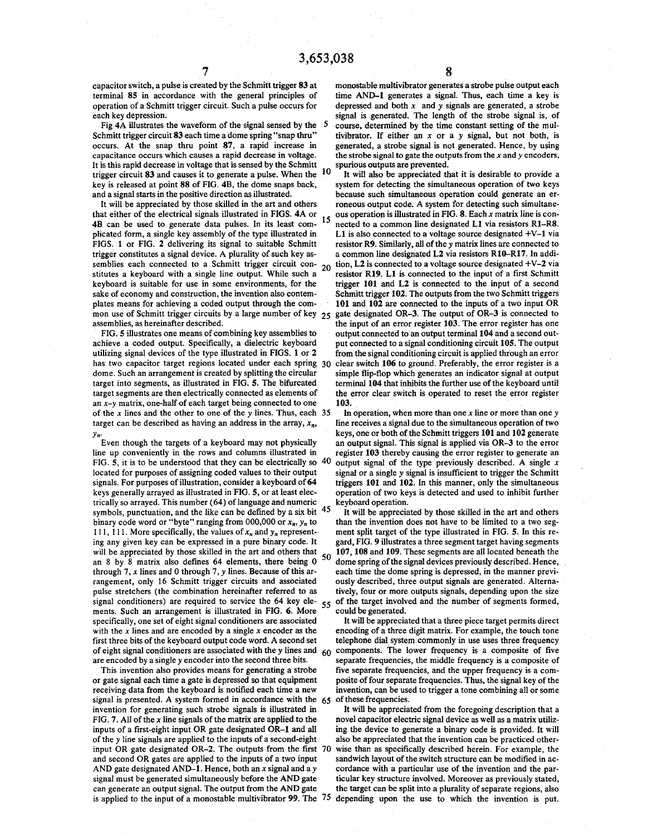capacitor switch, a pulse is created by the Schmitt trigger 83 at terminal 85 in accordance with the general principles of operation of a Schmitt trigger circuit. Such a pulse occurs for each key depression.

Fig 4A illustrates the waveform of the signal sensed by the 5 Schmitt trigger circuit 83 each time a dome spring "snap thru" occurs. At the snap thru point 87, a rapid increase in capacitance occurs which causes a rapid decrease in voltage. It is this rapid decrease in voltage that is sensed by the Schmitt  $\frac{10}{100}$  spurious outputs are prevented. trigger circuit 83 and causes it to generate a pulse. When the key is released at point 88 of FIG. 48, the dome snaps back, and a signal starts in the positive direction as illustrated.

It will be appreciated by those skilled in the art and others that either of the electrical signals illustrated in FIGS. 4A or that either of the electrical signals illustrated in FIGS. 4A or 15 48 can be used to generate data pulses. In its least complicated form, a single key assembly of the type illustrated in FIGS. 1 or FIG. 2 delivering its signal to suitable Schmitt trigger constitutes a signal device. A plurality of such key assemblies each connected to a Schmitt trigger circuit con- 20 stitutes a keyboard with a single line output. While such a keyboard is suitable for use in some environments, for the sake of economy and construction, the invention also contemplates means for achieving a coded output through the common use of Schmitt trigger circuits by a large number of key  $25$ assemblies, as hereinafter described.

FIG. 5 illustrates one means of combining key assemblies to achieve a coded output. Specifically, a dielectric keyboard utilizing signal devices of the type illustrated in FIGS. 1 or 2 has two capacitor target regions located under each spring 30 dome. Such an arrangement is created by splitting the circular target into segments, as illustrated in FIG. 5. The bifurcated target segments are then electrically connected as elements of an x-y matrix, one-half of each target being connected to one of the *x* lines and the other to one of the *y* lines. Thus, each target can be described as having an address in the array,  $x_n$ , *Yn·* 

Even though the targets of a keyboard may not physically line up conveniently in the rows and columns illustrated in FIG. 5, it is to be understood that they can be electrically so 40 located for purposes of assigning coded values to their output signals. For purposes of illustration, consider a keyboard of 64 keys generally arrayed as illustrated in FIG. 5, or at least electrically so arrayed. This number ( 64) of language and numeric symbols, punctuation, and the like can be defined by a six bit  $45$ binary code word or "byte" ranging from 000,000 or  $x_n$ ,  $y_n$  to 111, 111. More specifically, the values of  $x_n$  and  $y_n$  representing any given key can be expressed in a pure binary code. It will be appreciated by those skilled in the art and others that an 8 by 8 matrix also defines 64 elements, there being 0 through 7, *x* lines and 0 through 7, *y* lines. Because of this arrangement, only 16 Schmitt trigger circuits and associated pulse stretchers (the combination hereinafter referred to as signal conditioners) are required to service the 64 key elements. Such an arrangement is illustrated in FIG. 6. More specifically, one set of eight signal conditioners are associated with the *x* lines and are encoded by a single *x* encoder as the first three bits of the keyboard output code word. A second set of eight signal conditioners are associated with the y lines and  $60$ are encoded by a single *y* encoder into the second three bits.

This invention also provides means for generating a strobe or gate signal each time a gate is depressed so that equipment receiving data from the keyboard is notified each time a new signal is presented. A system formed in accordance with the 65 invention for generating such strobe signals is illustrated in FIG. 7. All of the *x* line signals of the matrix are applied to the inputs of a first-eight input OR gate designated OR-1 and all of the *y* line signals are applied to the inputs of a second-eight input OR gate designated OR-2. The outputs from the first and second OR gates are applied to the inputs of a two input AND gate designated AND-1. Hence, both an  $x$  signal and a  $y$ signal must be generated simultaneously before the AND gate can generate an output signal. The output from the AND gate is applied to the input of a monostable multivibrator 99. The 75

monostable multivibrator generates a strobe pulse output each time AND-1 generates a signal. Thus, each time a key is depressed and both *x* and *y* signals are generated, a strobe signal is generated. The length of the strobe signal is, of course, determined by the time constant setting of the multivibrator. If either an *x* or a *y* signal, but not both, is generated, a strobe signal is not generated. Hence, by using the strobe signal to gate the outputs from the *x* and *y* encoders,

It will also be appreciated that it is desirable to provide a system for detecting the simultaneous operation of two keys because such simultaneous operation could generate an erroneous output code. A system for detecting such simultaneous operation is illustrated in FIG. 8. Each *x* matrix line is connected to a common line designated Ll via resistors Rt-RS. L1 is also connected to a voltage source designated  $+V-1$  via resistor R9. Similarly, all of the *y* matrix lines are connected to a common line designated L2 via resistors Rl0-Rl7. In addition, L2 is connected to a voltage source designated +V-2 via resistor Rl9. Ll is connected to the input of a first Schmitt trigger  $101$  and  $L2$  is connected to the input of a second Schmitt trigger 102. The outputs from the two Schmitt triggers 101 and 102 are connected to the inputs of a two input OR gate designated OR-3. The output of OR-3 is connected to the input of an error register 103. The error register has one output.connected to an output terminal 104 and a second output connected to a signal conditioning circuit 105. The output from the signal conditioning circuit is applied through an error clear switch 106 to ground. Preferably, the error register is a simple flip-flop which generates an indicator signal at output terminal 104 that inhibits the further use of the keyboard until the error clear switch is operated to reset the error register 103.

35 In operation, when more than one *x* line or more than one *y*  line receives a signal due to the simultaneous operation of two keys, one or both of the Schmitt triggers 101 and 102 generate an output signal. This signal is applied via OR-3 to the error register 103 thereby causing the error register to generate an 40 output signal of the type previously described. A single *x*  signal or a single *y* signal is insufficient to trigger the Schmitt triggers 101 and 102. In this manner, only the simultaneous operation of two keys is detected and used to inhibit further keyboard operation.

It will be appreciated by those skilled in the art and others than the invention does not have to be limited to a two segment split target of the type illustrated in FIG. 5. In this regard, FIG. 9 illustrates a three segment target having segments <sup>50</sup>107, 108 and 109. These segments are all located beneath the dome spring of the signal devices previously described. Hence, each time the dome spring is depressed, in the manner previously described, three output signals are generated. Alternatively, four or more outputs signals, depending upon the size *<sup>55</sup>*of the target involved and the number of segments formed, could be generated.

It will be appreciated that a three piece target permits direct encoding of a three digit matrix. For example, the touch tone telephone dial system commonly in use uses three frequency components. The lower frequency is a composite of five separate frequencies, the middle frequency is a composite of five separate frequencies, and the upper frequency is a composite of four separate frequencies. Thus, the signal key of the invention, can be used to trigger a tone combining all or some of these frequencies.

It will be appreciated from the foregoing description that a novel capacitor electric signal device as well as a matrix utilizing the device to generate a binary code is provided. It will also be appreciated that the invention can be practiced otherwise than as specifically described herein. For example, the sandwich layout of the switch structure can be modified in accordance with a particular use of the invention and the particular key structure involved. Moreover as previously stated, the target can be split into a plurality of separate regions, also depending upon the use to which the invention is put.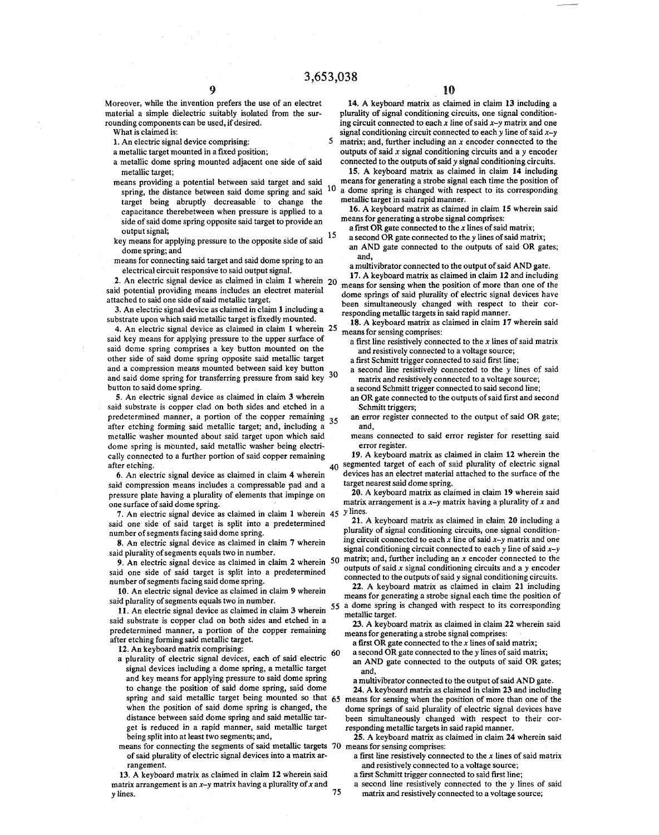Moreover, while the invention prefers the use of an electret material a simple dielectric suitably isolated from the surrounding components can be used, if desired.

What is claimed is:

1. An electric signal device comprising:

- a metallic target mounted in a fixed position;
- a metallic dome spring mounted adjacent one side of said metallic target;
- means providing a potential between said target and said spring, the distance between said dome spring and said 10 target being abruptly decreasable to change the capacitance therebetween when pressure is applied to a side of said dome spring opposite said target to provide an output signal;
- key means for applying pressure to the opposite side of said dome spring; and
- means for connecting said target and said dome spring to an electrical circuit responsive to said output signal.

2. An electric signal device as claimed in claim 1 wherein said potential providing means includes an electret material attached to said one side of said metallic target.

3. An electric signal device as claimed in claim 1 including a substrate upon which said metallic target is fixedly mounted.

4. An electric signal device as claimed in claim 1 wherein 25 said key means for applying pressure to the upper surface of said dome spring comprises a key button mounted on the other side of said dome spring opposite said metallic target and a compression means mounted between said key button and said dome spring for transferring pressure from said key button to said dome spring.

S. An electric signal device as claimed in claim 3 wherein said substrate is copper clad on both sides and etched in a predetermined manner, a portion of the copper remaining after etching forming said metallic target; and, including a metallic washer mounted about said target upon which said dome spring is mounted, said metallic washer being electrically connected to a further portion of said copper remaining after etching.

6. An electric signal device as claimed in claim 4 wherein said compression means includes a compressable pad and a pressure plate having a plurality of elements that impinge on one surface of said dome spring.

7. An electric signal device as claimed in claim 1 wherein 45 *y* lines. said one side of said target is split into a predetermined number of segments facing said dome spring.

8. An electric signal device as claimed in claim 7 wherein said plurality of segments equals two in number.

9. An electric signal device as claimed in claim 2 wherein said one side of said target is split into a predetermined number of segments facing said dome spring.

10. An electric signal device as claimed in claim 9 wherein said plurality of segments equals two in number.

11. An electric signal device as claimed in claim 3 wherein said substrate is copper clad on both sides and etched in a predetermined manner, a portion of the copper remaining after etching forming said metallic target.

12. An keyboard matrix comprising:

- a plurality of electric signal devices, each of said electric signal devices including a dome spring, a metallic target and key means for applying pressure to said dome spring to change the position of said dome spring, said dome when the position of said dome spring is changed, the distance between said dome spring and said metallic target is reduced in a rapid manner, said metallic target being split into at least two segments; and,
- means for connecting the segments of said metallic targets of said plurality of electric signal devices into a matrix arrangement.

13. A keyboard matrix as claimed in claim 12 wherein said a first Schmitt trigger connected to said first line; matrix arrangement is an *x-y* matrix having a plurality of *x* and y lines. 75

14. A keyboard matrix as claimed in claim 13 including a plurality of signal conditioning circuits, one signal conditioning circuit connected to each *x* line of said *x-y* matrix and one signal conditioning circuit connected to each y line of said *x-y*  5 matrix; and, further including an *x* encoder connected to the outputs of said *x* signal conditioning circuits and a *y* encoder connected to the outputs of said y signal conditioning circuits.

15. A keyboard matrix as claimed in claim 14 including means for generating a strobe signal each time the position of a dome spring is changed with respect to its corresponding metallic target in said rapid manner.

16. A keyboard matrix as claimed in claim 15 wherein said means for generating a strobe signal comprises:

- a first OR gate connected to the *x* lines of said matrix;
- 15 a second  $\overrightarrow{OR}$  gate connected to the y lines of said matrix; an AND gate connected to the outputs of said OR gates; and,

a multivibrator connected to the output of said AND gate.

17. A keyboard matrix as claimed in claim 12 and including means for sensing when the position of more than one of the dome springs of said plurality of electric signal devices have been simultaneously changed with respect to their corresponding metallic targets in said rapid manner.

18. A keyboard matrix as claimed in claim 17 wherein said means for sensing comprises:

- a first line resistively connected to the *x* lines of said matrix and resistively connected to a voltage source;
- a first Schmitt trigger connected to said first line;
- <sup>30</sup>a second line resistively connected to the *y* lines of said matrix and resistively connected to a voltage source;
	- a second Schmitt trigger connected to said second line; an OR gate connected to the outputs of said first and second
	- Schmitt triggers; an error register connected to the output of said OR gate; and,
	- means connected to said error register for resetting said error register.

19. A keyboard matrix as claimed in claim 12 wherein the 40 segmented target of each of said plurality of electric signal devices has an electret material attached to the surface of the target nearest said dome spring.

20. A keyboard matrix as claimed in claim 19 wherein *said*  matrix arrangement is a *x-y* matrix having a plurality of *x* and

21. A keyboard matrix as claimed in claim 20 including a plurality of signal conditioning circuits, one signal conditioning circuit connected to each *x* line of said *x-y* matrix and one signal conditioning circuit connected to each y line of said *x-y*  50 matrix; and, further including an *x* encoder connected to the outputs of said *x* signal conditioning circuits and a y encoder connected to the outputs of said *y* signal conditioning circuits.

22. A keyboard matrix as claimed in claim 21 including means for generating a strobe signal each time the position of a dome spring is changed with respect to its corresponding metallic target.

23. A keyboard matrix as claimed in claim 22 wherein said means for generating a strobe signal comprises:

a first OR gate connected to the *x* lines of said matrix;

a second OR gate connected to the y lines of said matrix; an AND gate connected to the outputs of said OR gates; and,

a multivibrator connected to the output of said AND gate.

spring and said metallic target being mounted so that 65 means for sensing when the position of more than one of the 24. A keyboard matrix as claimed in claim 23 and including dome springs of said plurality of electric signal devices have been simultaneously changed with respect to their corresponding metallic targets in said rapid manner.

> 25. A keyboard matrix as claimed in claim 24 wherein *said*  means for sensing comprises:

a first line resistively connected to the *x* lines of said matrix and resistively connected to a voltage source;

a second line resistively connected to the *y* lines of said matrix and resistively connected to a voltage source;